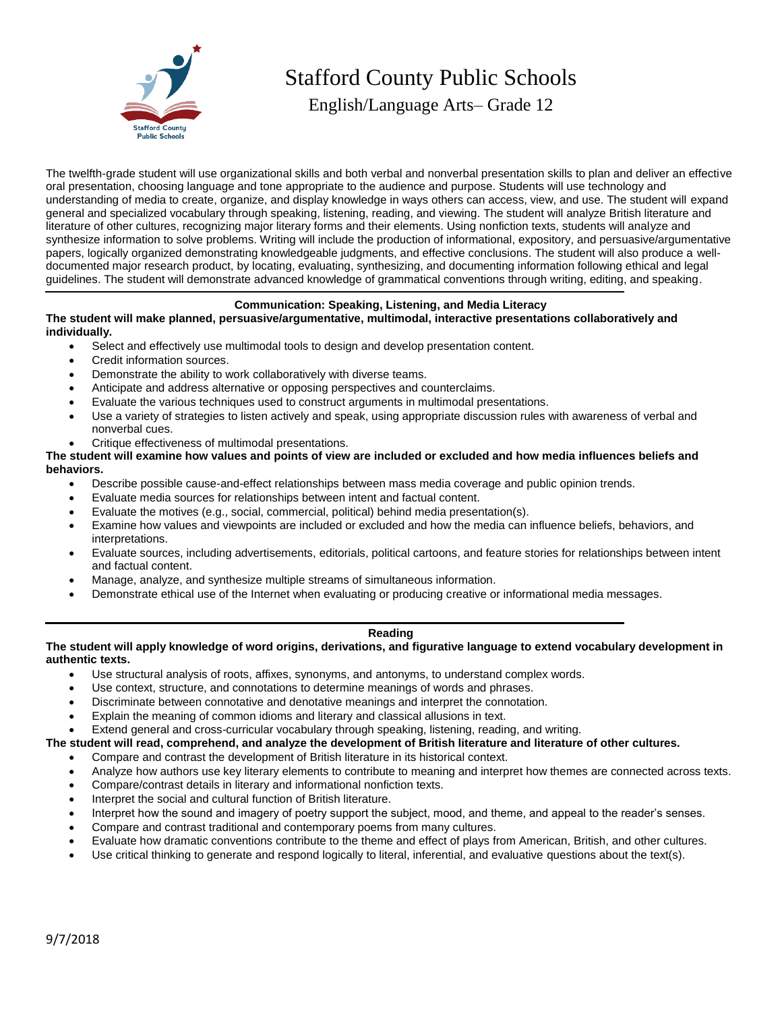

# Stafford County Public Schools

English/Language Arts– Grade 12

The twelfth-grade student will use organizational skills and both verbal and nonverbal presentation skills to plan and deliver an effective oral presentation, choosing language and tone appropriate to the audience and purpose. Students will use technology and understanding of media to create, organize, and display knowledge in ways others can access, view, and use. The student will expand general and specialized vocabulary through speaking, listening, reading, and viewing. The student will analyze British literature and literature of other cultures, recognizing major literary forms and their elements. Using nonfiction texts, students will analyze and synthesize information to solve problems. Writing will include the production of informational, expository, and persuasive/argumentative papers, logically organized demonstrating knowledgeable judgments, and effective conclusions. The student will also produce a welldocumented major research product, by locating, evaluating, synthesizing, and documenting information following ethical and legal guidelines. The student will demonstrate advanced knowledge of grammatical conventions through writing, editing, and speaking.

# **Communication: Speaking, Listening, and Media Literacy**

## **The student will make planned, persuasive/argumentative, multimodal, interactive presentations collaboratively and individually.**

- Select and effectively use multimodal tools to design and develop presentation content.
- Credit information sources.
- Demonstrate the ability to work collaboratively with diverse teams.
- Anticipate and address alternative or opposing perspectives and counterclaims.
- Evaluate the various techniques used to construct arguments in multimodal presentations.
- Use a variety of strategies to listen actively and speak, using appropriate discussion rules with awareness of verbal and nonverbal cues.
- Critique effectiveness of multimodal presentations.

## **The student will examine how values and points of view are included or excluded and how media influences beliefs and behaviors.**

- Describe possible cause-and-effect relationships between mass media coverage and public opinion trends.
- Evaluate media sources for relationships between intent and factual content.
- Evaluate the motives (e.g., social, commercial, political) behind media presentation(s).
- Examine how values and viewpoints are included or excluded and how the media can influence beliefs, behaviors, and interpretations.
- Evaluate sources, including advertisements, editorials, political cartoons, and feature stories for relationships between intent and factual content.
- Manage, analyze, and synthesize multiple streams of simultaneous information.
- Demonstrate ethical use of the Internet when evaluating or producing creative or informational media messages.

## **Reading**

## **The student will apply knowledge of word origins, derivations, and figurative language to extend vocabulary development in authentic texts.**

- Use structural analysis of roots, affixes, synonyms, and antonyms, to understand complex words.
- Use context, structure, and connotations to determine meanings of words and phrases.
- Discriminate between connotative and denotative meanings and interpret the connotation.
- Explain the meaning of common idioms and literary and classical allusions in text.
- Extend general and cross-curricular vocabulary through speaking, listening, reading, and writing.

## **The student will read, comprehend, and analyze the development of British literature and literature of other cultures.**

- Compare and contrast the development of British literature in its historical context.
- Analyze how authors use key literary elements to contribute to meaning and interpret how themes are connected across texts.
- Compare/contrast details in literary and informational nonfiction texts.
- Interpret the social and cultural function of British literature.
- Interpret how the sound and imagery of poetry support the subject, mood, and theme, and appeal to the reader's senses.
- Compare and contrast traditional and contemporary poems from many cultures.
- Evaluate how dramatic conventions contribute to the theme and effect of plays from American, British, and other cultures.
- Use critical thinking to generate and respond logically to literal, inferential, and evaluative questions about the text(s).